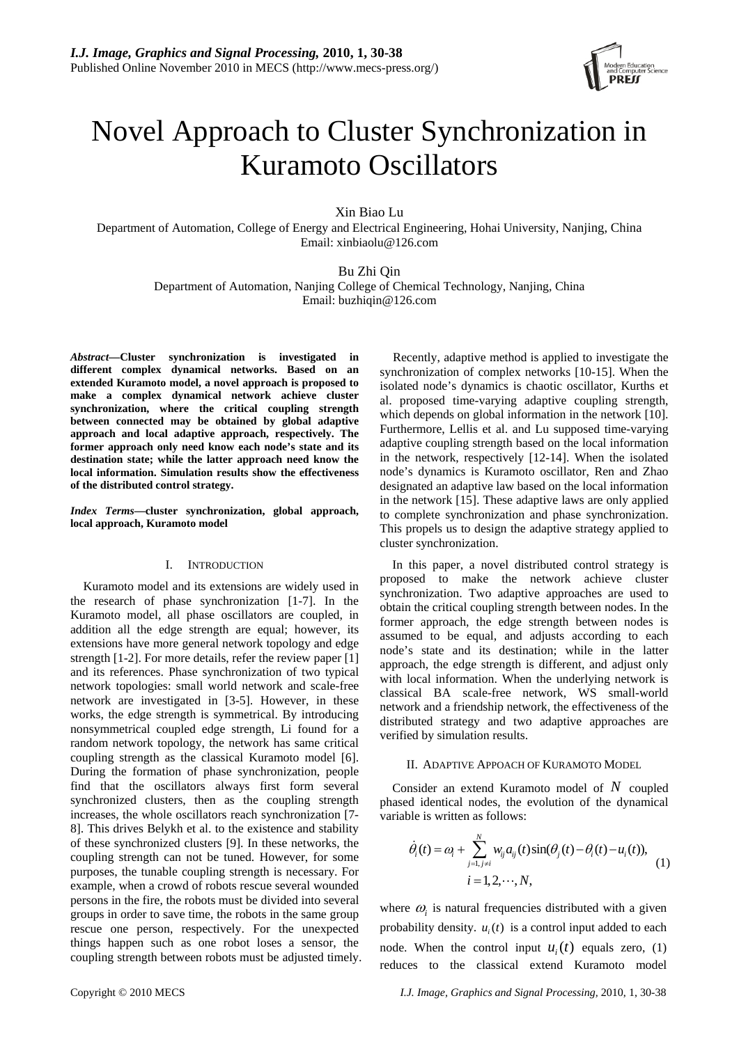

# Novel Approach to Cluster Synchronization in Kuramoto Oscillators

Xin Biao Lu

Department of Automation, College of Energy and Electrical Engineering, Hohai University, Nanjing, China Email: xinbiaolu@126.com

Bu Zhi Qin

Department of Automation, Nanjing College of Chemical Technology, Nanjing, China Email: buzhiqin@126.com

*Abstract***—Cluster synchronization is investigated in different complex dynamical networks. Based on an extended Kuramoto model, a novel approach is proposed to make a complex dynamical network achieve cluster synchronization, where the critical coupling strength between connected may be obtained by global adaptive approach and local adaptive approach, respectively. The former approach only need know each node's state and its destination state; while the latter approach need know the local information. Simulation results show the effectiveness of the distributed control strategy.** 

*Index Terms***—cluster synchronization, global approach, local approach, Kuramoto model** 

## I. INTRODUCTION

Kuramoto model and its extensions are widely used in the research of phase synchronization [1-7]. In the Kuramoto model, all phase oscillators are coupled, in addition all the edge strength are equal; however, its extensions have more general network topology and edge strength [1-2]. For more details, refer the review paper [1] and its references. Phase synchronization of two typical network topologies: small world network and scale-free network are investigated in [3-5]. However, in these works, the edge strength is symmetrical. By introducing nonsymmetrical coupled edge strength, Li found for a random network topology, the network has same critical coupling strength as the classical Kuramoto model [6]. During the formation of phase synchronization, people find that the oscillators always first form several synchronized clusters, then as the coupling strength increases, the whole oscillators reach synchronization [7- 8]. This drives Belykh et al. to the existence and stability of these synchronized clusters [9]. In these networks, the coupling strength can not be tuned. However, for some purposes, the tunable coupling strength is necessary. For example, when a crowd of robots rescue several wounded persons in the fire, the robots must be divided into several groups in order to save time, the robots in the same group rescue one person, respectively. For the unexpected things happen such as one robot loses a sensor, the coupling strength between robots must be adjusted timely.

Recently, adaptive method is applied to investigate the synchronization of complex networks [10-15]. When the isolated node's dynamics is chaotic oscillator, Kurths et al. proposed time-varying adaptive coupling strength, which depends on global information in the network [10]. Furthermore, Lellis et al. and Lu supposed time-varying adaptive coupling strength based on the local information in the network, respectively [12-14]. When the isolated node's dynamics is Kuramoto oscillator, Ren and Zhao designated an adaptive law based on the local information in the network [15]. These adaptive laws are only applied to complete synchronization and phase synchronization. This propels us to design the adaptive strategy applied to cluster synchronization.

In this paper, a novel distributed control strategy is proposed to make the network achieve cluster synchronization. Two adaptive approaches are used to obtain the critical coupling strength between nodes. In the former approach, the edge strength between nodes is assumed to be equal, and adjusts according to each node's state and its destination; while in the latter approach, the edge strength is different, and adjust only with local information. When the underlying network is classical BA scale-free network, WS small-world network and a friendship network, the effectiveness of the distributed strategy and two adaptive approaches are verified by simulation results.

### II. ADAPTIVE APPOACH OF KURAMOTO MODEL

Consider an extend Kuramoto model of  $N$  coupled phased identical nodes, the evolution of the dynamical variable is written as follows:

$$
\dot{\theta}_i(t) = \omega_i + \sum_{j=1, j \neq i}^{N} w_{ij} a_{ij}(t) \sin(\theta_j(t) - \theta_i(t) - u_i(t)),
$$
  
\n
$$
i = 1, 2, \dots, N,
$$
 (1)

where  $\omega$  is natural frequencies distributed with a given probability density.  $u_i(t)$  is a control input added to each node. When the control input  $u_i(t)$  equals zero, (1) reduces to the classical extend Kuramoto model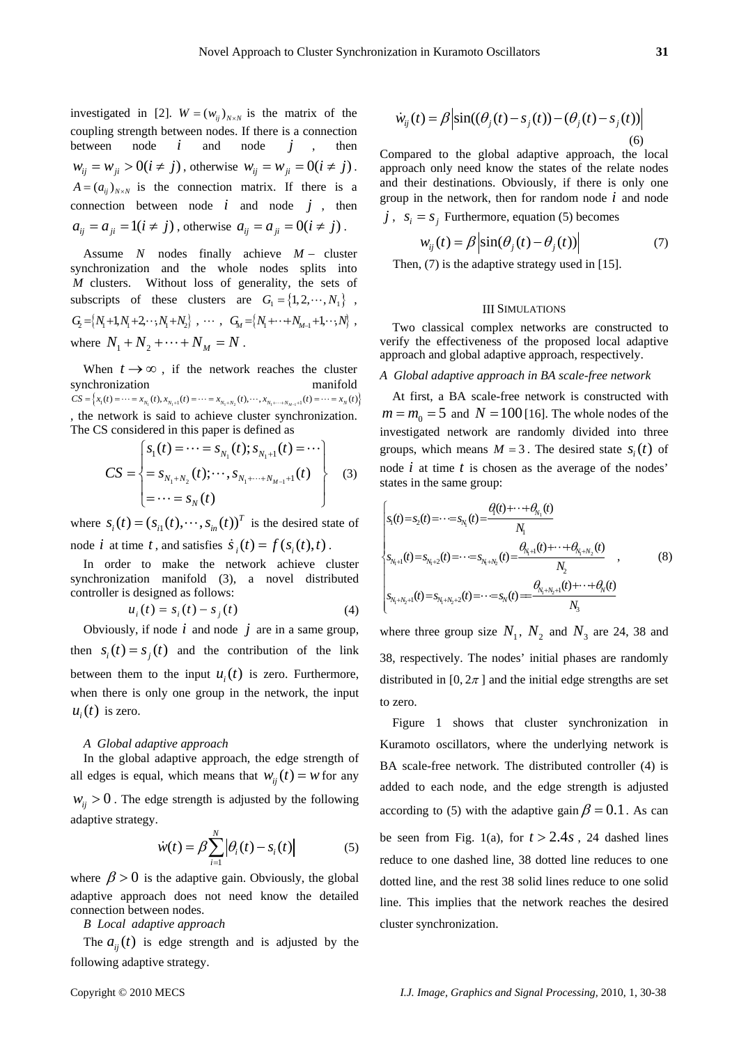investigated in [2].  $W = (w_{ii})_{N \times N}$  is the matrix of the coupling strength between nodes. If there is a connection between node *i* and node *j* , then  $w_{ij} = w_{ji} > 0 (i \neq j)$ , otherwise  $w_{ij} = w_{ji} = 0 (i \neq j)$ .  $A = (a_{ij})_{N \times N}$  is the connection matrix. If there is a connection between node  $i$  and node  $j$ , then  $a_{ij} = a_{ji} = 1(i \neq j)$ , otherwise  $a_{ij} = a_{ji} = 0(i \neq j)$ .

Assume *N* nodes finally achieve  $M -$  cluster synchronization and the whole nodes splits into *M* clusters. Without loss of generality, the sets of subscripts of these clusters are  $G_1 = \{1, 2, \dots, N_1\}$ ,  $G_2 = \{N_1+1, N_1+2, \cdots, N_1+N_2\} , \cdots , G_M = \{N_1+ \cdots + N_{M-1}+1, \cdots, N\} ,$ where  $N_1 + N_2 + \cdots + N_M = N$ .

When  $t \to \infty$ , if the network reaches the cluster synchronization manifold  $CS = \Big\{ x_1(t) = \cdots = x_{N_1}(t), x_{N_1+1}(t) = \cdots = x_{N_1+N_2}(t), \cdots, x_{N_1+\cdots+N_{M-1}+1}(t) = \cdots = x_N(t) \Big\}$ The CS considered in this paper is defined as , the network is said to achieve cluster synchronization.

$$
CS = \begin{cases} s_1(t) = \cdots = s_{N_1}(t); s_{N_1+1}(t) = \cdots \\ = s_{N_1+N_2}(t); \cdots, s_{N_1+\cdots+N_{M-1}+1}(t) \\ = \cdots = s_N(t) \end{cases}
$$
 (3)

where  $s_i(t) = (s_{i1}(t), \dots, s_{in}(t))^T$  is the desired state of node *i* at time *t*, and satisfies  $\dot{s}_i(t) = f(s_i(t), t)$ .

synch ronization manifold (3), a novel distributed In order to make the network achieve cluster controller is designed as follows:

$$
u_i(t) = s_i(t) - s_j(t)
$$
 (4)

Obviously, if node  $i$  and node  $j$  are in a same group, then  $s_i(t) = s_j(t)$  and the contribution of the link between them to the input  $u_i(t)$  is zero. Furthermore, when there is only one group in the network, the input  $u_i(t)$  is zero.

#### *A Global adaptive approach*

all edges is equal, which means that  $w_{ij}(t) = w$  for any adaptive strategy. In the global adaptive approach, the edge strength of  $w_{ij} > 0$ . The edge strength is adjusted by the following

$$
\dot{w}(t) = \beta \sum_{i=1}^{N} \left| \theta_i(t) - s_i(t) \right| \tag{5}
$$

where  $\beta > 0$  is the adaptive gain. Obviously, the global adaptive approach does not need know the detailed connection between nodes.

*B Local adaptive approach*

following adaptiv e strateg y. The  $a_{ij}(t)$  is edge strength and is adjusted by the

$$
\dot{w}_{ij}(t) = \beta \left| \sin((\theta_j(t) - s_j(t)) - (\theta_j(t) - s_j(t)) \right|
$$
\n(6)

Compared to the global adaptive approach, the local approach only need know the states of the relate nodes and their destinations. Obviously, if there is only one group in the network, then for random node *i* and node  $j$ ,  $s_i = s_j$  Furthermore, equation (5) becomes

$$
w_{ij}(t) = \beta \left| \sin(\theta_j(t) - \theta_j(t)) \right| \tag{7}
$$

Then,  $(7)$  is the adaptive strategy used in [15].

## III SIMULATIONS

Two classical complex networks are constructed to verify the effectiveness of the proposed local adaptive approach and global adaptive approach, respectively.

## *A Global adaptive approach in BA scale-free network*

At first, a BA scale-free network is constructed with  $m = m_0 = 5$  and  $N = 100$  [16]. The whole nodes of the inv estigated network are randomly divided into three groups, which means  $M = 3$ . The desired state  $s_i(t)$  of node *i* at time *t* is chosen as the average of the nodes' states in the same group:

$$
\begin{cases}\ns_{1}(t) = s_{2}(t) = \dots = s_{N_{1}}(t) = \frac{\theta(t) + \dots + \theta_{N_{1}}(t)}{N_{1}} \\
s_{N_{1}+1}(t) = s_{N_{1}+2}(t) = \dots = s_{N_{1}+N_{2}}(t) = \frac{\theta_{N_{1}+1}(t) + \dots + \theta_{N_{1}+N_{2}}(t)}{N_{2}} \\
s_{N_{1}+N_{2}+1}(t) = s_{N_{1}+N_{2}+2}(t) = \dots = s_{N}(t) = \frac{\theta_{N_{1}+N_{2}+1}(t) + \dots + \theta_{N}(t)}{N_{3}}\n\end{cases}
$$
\n(8)

where three group size  $N_1$ ,  $N_2$  and  $N_3$  are 24, 38 and 38, respectively. The nodes' initial phases are randomly distributed in [0,  $2\pi$ ] and the initial edge strengths are set to zero.

Figure 1 shows that cluster synchronization in Kuramoto oscillators, where the underlying network is BA scale-free network. The distributed controller (4) is added to each node, and the edge strength is adjusted according to (5) with the adaptive gain  $\beta = 0.1$ . As can be seen from Fig. 1(a), for  $t > 2.4s$ , 24 dashed lines reduce to one dashed line, 38 dotted line reduces to one dotted line, and the rest 38 solid lines reduce to one solid line. This implies that the network reaches the desired cluster synchronization.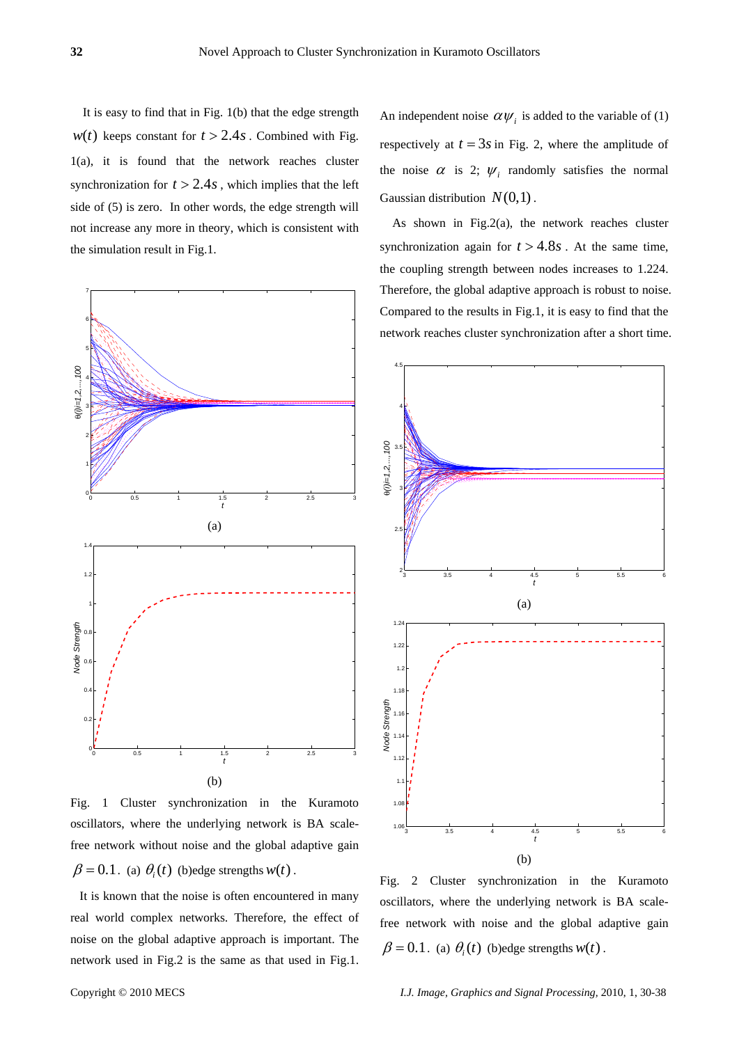It is easy to find that in Fig. 1(b) that the edge strength  $w(t)$  keeps constant for  $t > 2.4s$ . Combined with Fig. 1(a), it is found that the network reaches cluster synchronization for  $t > 2.4s$ , which implies that the left side of (5) is zero. In other words, the edge strength will not increase any more in theory, which is consistent with the simulation result in Fig.1.



Fig. 1 Cluster synchronization in the Kuramoto oscillators, where the underlying network is BA scalefree network without noise and the global adaptive gain  $\beta = 0.1$ . (a)  $\theta_i(t)$  (b)edge strengths  $w(t)$ .

 It is known that the noise is often encountered in many real world complex networks. Therefore, the effect of noise on the global adaptive approach is important. The network used in Fig.2 is the same as that used in Fig.1.

An independent noise  $\alpha \psi_i$  is added to the variable of (1) respectively at  $t = 3s$  in Fig. 2, where the amplitude of the noise  $\alpha$  is 2;  $\psi$ , randomly satisfies the normal Gaussian distribution  $N(0,1)$ .

As shown in Fig.2(a), the network reaches cluster synchronization again for  $t > 4.8s$ . At the same time, the coupling strength between nodes increases to 1.224. Therefore, the global adaptive approach is robust to noise. Compared to the results in Fig.1, it is easy to find that the network reaches cluster synchronization after a short time.



Fig. 2 Cluster synchronization in the Kuramoto oscillators, where the underlying network is BA scalefree network with noise and the global adaptive gain  $\beta = 0.1$ . (a)  $\theta_i(t)$  (b)edge strengths  $w(t)$ .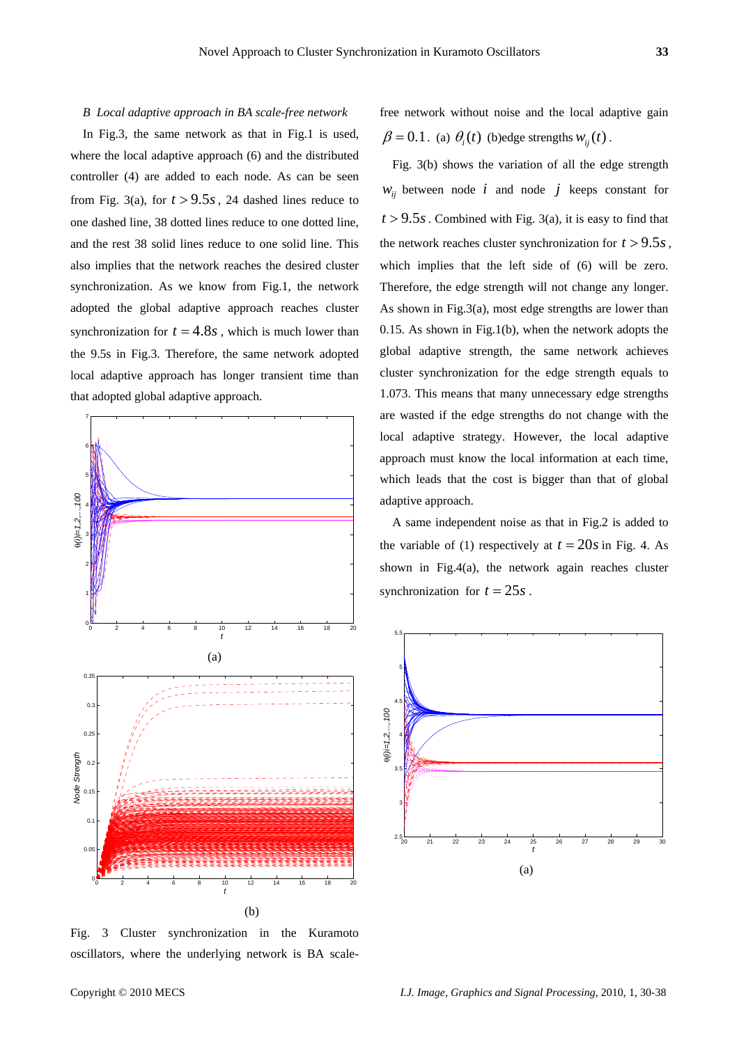#### *B Local adaptive approach in BA scale-free network*

In Fig.3, the same network as that in Fig.1 is used, where the local adaptive approach (6) and the distributed controller (4) are added to each node. As can be seen from Fig. 3(a), for  $t > 9.5s$ , 24 dashed lines reduce to one dashed line, 38 dotted lines reduce to one dotted line, and the rest 38 solid lines reduce to one solid line. This also implies that the network reaches the desired cluster synchronization. As we know from Fig.1, the network adopted the global adaptive approach reaches cluster synchronization for  $t = 4.8s$ , which is much lower than the 9.5s in Fig.3. Therefore, the same network adopted local adaptive approach has longer transient time than that adopted global adaptive approach.



Fig. 3 Cluster synchronization in the Kuramoto oscillators, where the underlying network is BA scale-

free network without noise and the local adaptive gain  $\beta = 0.1$ . (a)  $\theta_i(t)$  (b)edge strengths  $w_{ii}(t)$ .

Fig. 3(b) shows the variation of all the edge strength  $W_{ii}$  between node *i* and node *j* keeps constant for  $t > 9.5s$ . Combined with Fig. 3(a), it is easy to find that the network reaches cluster synchronization for  $t > 9.5s$ , which implies that the left side of (6) will be zero. Therefore, the edge strength will not change any longer. As shown in Fig.3(a), most edge strengths are lower than 0.15. As shown in Fig.1(b), when the network adopts the global adaptive strength, the same network achieves cluster synchronization for the edge strength equals to 1.073. This means that many unnecessary edge strengths are wasted if the edge strengths do not change with the local adaptive strategy. However, the local adaptive approach must know the local information at each time, which leads that the cost is bigger than that of global adaptive approach.

the variable of (1) respectively at  $t = 20s$  in Fig. 4. As A same independent noise as that in Fig.2 is added to shown in Fig.4(a), the network again reaches cluster synchronization for  $t = 25s$ .

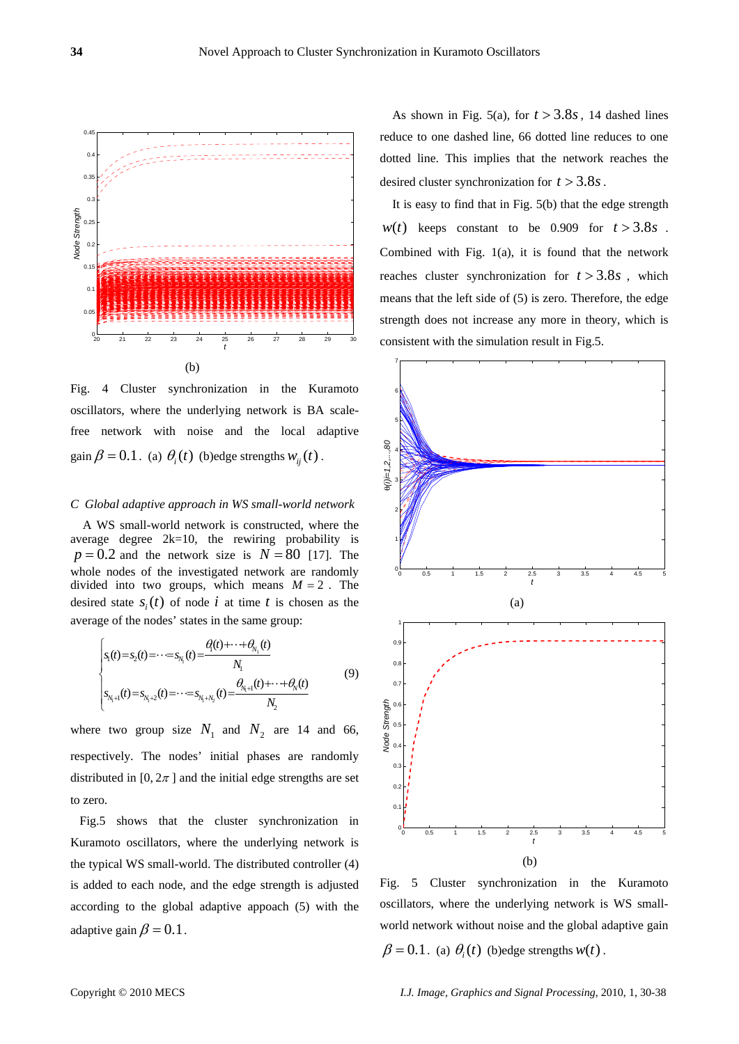

Fig. 4 Cluster synchronization in the Kuramoto oscillators, where the underlying network is BA scalefree network with noise and the local adaptive gain  $\beta = 0.1$ . (a)  $\theta_i(t)$  (b)edge strengths  $w_{ii}(t)$ .

## *C Global adaptive approach in WS small-world network*

A WS small-world network is constructed, where the average degree 2k=10, the rewiring probability is  $p = 0.2$  and the network size is  $N = 80$  [17]. The whole nodes of the investigated network are randomly divided into two groups, which means  $M = 2$ . The desired state  $s_i(t)$  of node *i* at time *t* is chosen as the average of the nodes' states in the same group:

$$
\begin{cases}\ns_{1}(t) = s_{2}(t) = \cdots = s_{N_{1}}(t) = \frac{\theta(t) + \cdots + \theta_{N_{1}}(t)}{N_{1}} \\
s_{N_{1}+1}(t) = s_{N_{1}+2}(t) = \cdots = s_{N_{1}+N_{2}}(t) = \frac{\theta_{N_{1}+1}(t) + \cdots + \theta_{N}(t)}{N_{2}}\n\end{cases} (9)
$$

where two group size  $N_1$  and  $N_2$  are 14 and 66, respectively. The nodes' initial phases are randomly distributed in [0,  $2\pi$ ] and the initial edge strengths are set to zero.

 Fig.5 shows that the cluster synchronization in Kuramoto oscillators, where the underlying network is the typical WS small-world. The distributed controller (4) is added to each node, and the edge strength is adjusted according to the global adaptive appoach (5) with the adaptive gain  $\beta = 0.1$ .

As shown in Fig. 5(a), for  $t > 3.8s$ , 14 dashed lines reduce to one dashed line, 66 dotted line reduces to one dotted line. This implies that the network reaches the desired cluster synchronization for  $t > 3.8s$ .

It is easy to find that in Fig. 5(b) that the edge strength  $w(t)$  keeps constant to be 0.909 for  $t > 3.8s$ . Combined with Fig. 1(a), it is found that the network reaches cluster synchronization for  $t > 3.8s$ , which means that the left side of (5) is zero. Therefore, the edge strength does not increase any more in theory, which is consistent with the simulation result in Fig.5.



Fig. 5 Cluster synchronization in the Kuramoto oscillators, where the underlying network is WS smallworld network without noise and the global adaptive gain  $\beta = 0.1$ . (a)  $\theta_i(t)$  (b)edge strengths  $w(t)$ .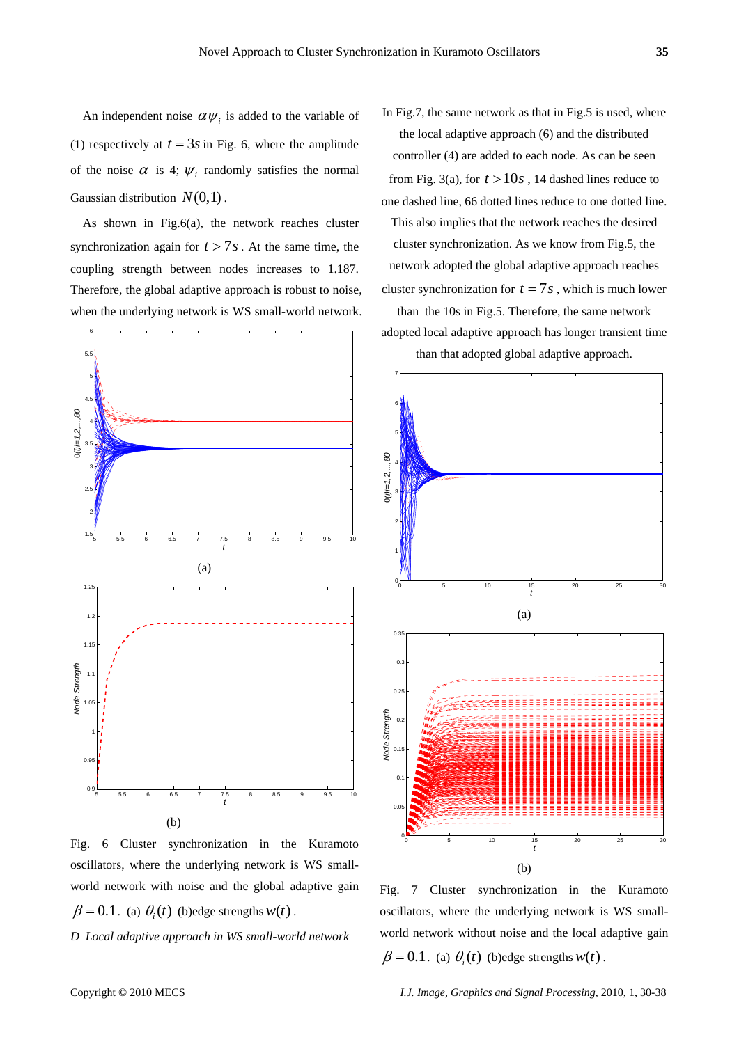An independent noise  $\alpha \psi_i$  is added to the variable of (1) respectively at  $t = 3s$  in Fig. 6, where the amplitude of the noise  $\alpha$  is 4;  $\psi_i$  randomly satisfies the normal Gaussian distribution  $N(0,1)$ .

As shown in Fig.6(a), the network reaches cluster synchronization again for  $t > 7s$ . At the same time, the coupling strength between nodes increases to 1.187. Therefore, the global adaptive approach is robust to noise, when the underlying network is WS small-world network.



Fig. 6 Cluster synchronization in the Kuramoto oscillators, where the underlying network is WS smallworld network with noise and the global adaptive gain  $\beta = 0.1$ . (a)  $\theta_i(t)$  (b)edge strengths  $w(t)$ .

*D Local adaptive approach in WS small-world network* 

In Fig.7, the same network as that in Fig.5 is used, where the local adaptive approach (6) and the distributed controller (4) are added to each node. As can be seen from Fig. 3(a), for  $t > 10s$ , 14 dashed lines reduce to one dashed line, 66 dotted lines reduce to one dotted line. This also implies that the network reaches the desired cluster synchronization. As we know from Fig.5, the network adopted the global adaptive approach reaches cluster synchronization for  $t = 7s$ , which is much lower than the 10s in Fig.5. Therefore, the same network

adopted local adaptive approach has longer transient time than that adopted global adaptive approach.



Fig. 7 Cluster synchronization in the Kuramoto oscillators, where the underlying network is WS smallworld network without noise and the local adaptive gain  $\beta = 0.1$ . (a)  $\theta_i(t)$  (b)edge strengths  $w(t)$ .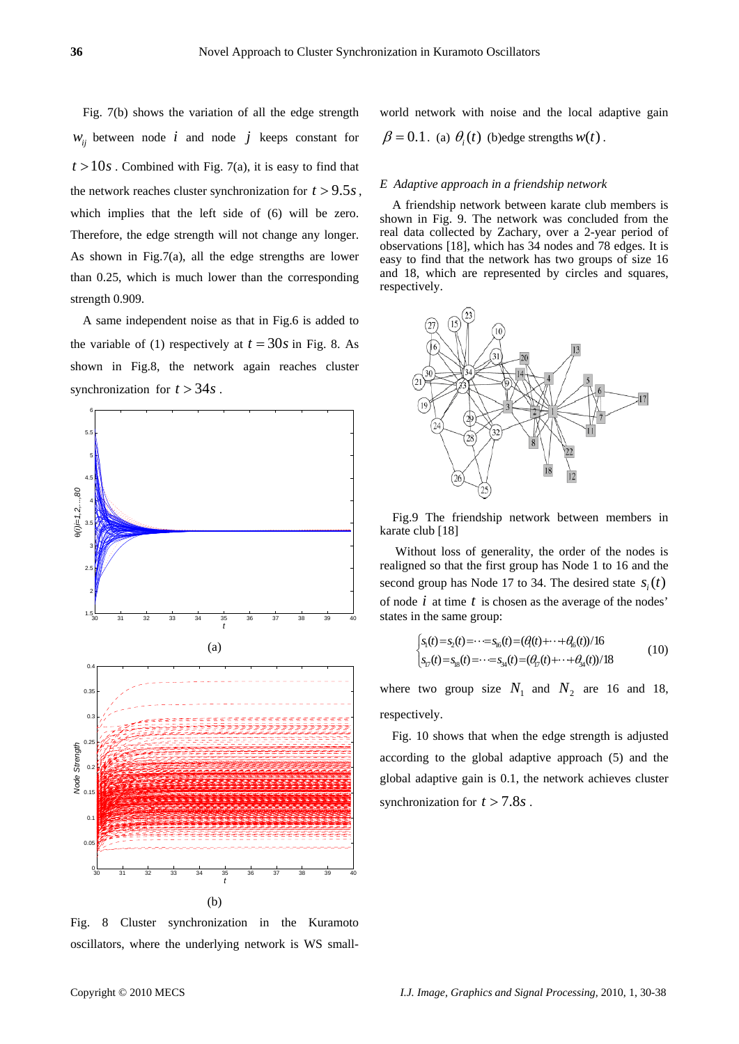Fig. 7(b) shows the variation of all the edge strength  $W_{ii}$  between node *i* and node *j* keeps constant for  $t > 10s$ . Combined with Fig. 7(a), it is easy to find that the network reaches cluster synchronization for  $t > 9.5s$ , which implies that the left side of (6) will be zero. Therefore, the edge strength will not change any longer. As shown in Fig.7(a), all the edge strengths are lower than 0.25, which is much lower than the corresponding strength 0.909.

the variable of (1) respectively at  $t = 30s$  in Fig. 8. As A same independent noise as that in Fig.6 is added to shown in Fig.8, the network again reaches cluster synchronization for  $t > 34s$ .



Fig. 8 Cluster synchronization in the Kuramoto oscillators, where the underlying network is WS small-

world network with noise and the local adaptive gain  $\beta = 0.1$ . (a)  $\theta_i(t)$  (b)edge strengths  $w(t)$ .

#### *E Adaptive approach in a friendship network*

A friendship network between karate club members is shown in Fig. 9. The network was concluded from the real data collected by Zachary, over a 2-year period of observations [18], which has 34 nodes and 78 edges. It is easy to find that the network has two groups of size 16 and 18, which are represented by circles and squares, respectively.



Fig.9 The friendship network between members in karate club [18]

 Without loss of generality, the order of the nodes is realigned so that the first group has Node 1 to 16 and the second group has Node 17 to 34. The desired state  $s_i(t)$ of node *i* at time *t* is chosen as the average of the nodes' states in the same group:

$$
\begin{cases}\ns_1(t) = s_2(t) = \cdots = s_{16}(t) = (\theta_1(t) + \cdots + \theta_{16}(t))/16 \\
s_{17}(t) = s_{18}(t) = \cdots = s_{34}(t) = (\theta_{17}(t) + \cdots + \theta_{34}(t))/18\n\end{cases} (10)
$$

where two group size  $N_1$  and  $N_2$  are 16 and 18, respectively.

Fig. 10 shows that when the edge strength is adjusted according to the global adaptive approach (5) and the global adaptive gain is 0.1, the network achieves cluster synchronization for  $t > 7.8s$ .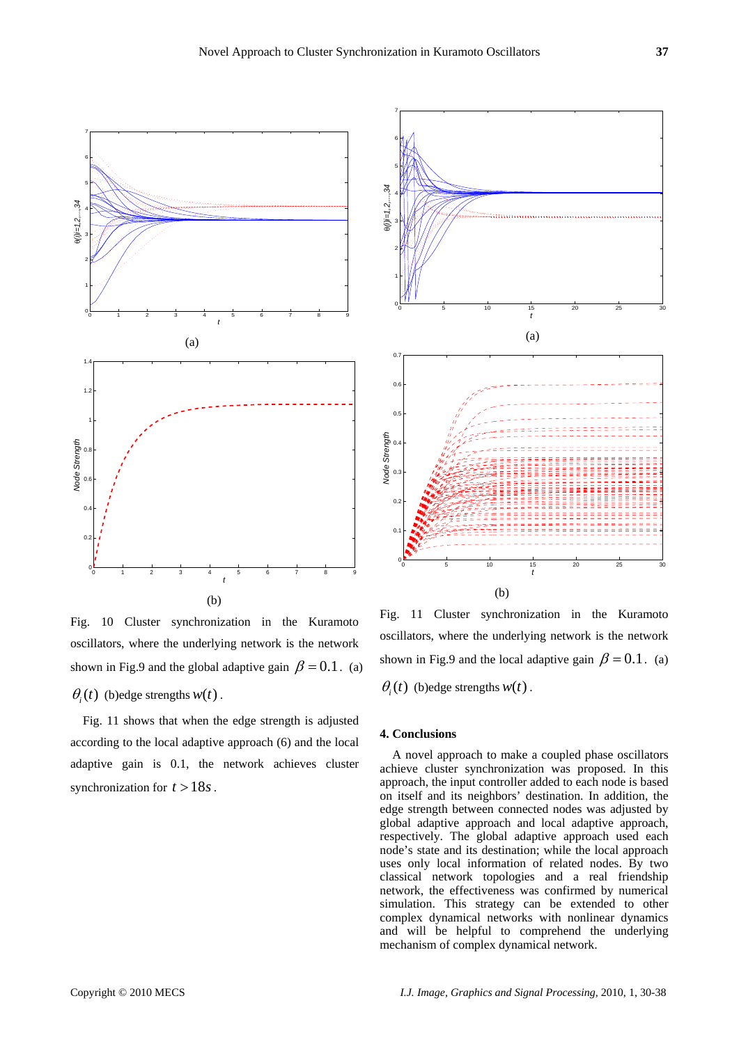

Fig. 10 Cluster synchronization in the Kuramoto oscillators, where the underlying network is the network shown in Fig.9 and the global adaptive gain  $\beta = 0.1$ . (a)  $\theta_i(t)$  (b)edge strengths  $w(t)$ .

 Fig. 11 shows that when the edge strength is adjusted according to the local adaptive approach (6) and the local adaptive gain is 0.1, the network achieves cluster synchronization for  $t > 18s$ .



Fig. 11 Cluster synchronization in the Kuramoto oscillators, where the underlying network is the network shown in Fig.9 and the local adaptive gain  $\beta = 0.1$ . (a)  $\theta_i(t)$  (b)edge strengths  $w(t)$ .

## **4. Conclusions**

A novel approach to make a coupled phase oscillators achieve cluster synchronization was proposed. In this approach, the input controller added to each node is based on itself and its neighbors' destination. In addition, the edge strength between connected nodes was adjusted by global adaptive approach and local adaptive approach, respectively. The global adaptive approach used each node's state and its destination; while the local approach uses only local information of related nodes. By two classical network topologies and a real friendship network, the effectiveness was confirmed by numerical simulation. This strategy can be extended to other complex dynamical networks with nonlinear dynamics and will be helpful to comprehend the underlying mechanism of complex dynamical network.